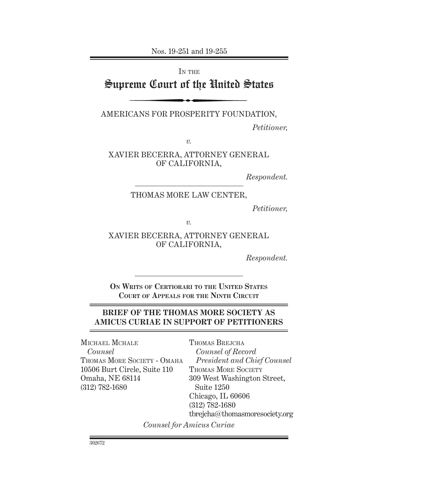Nos. 19-251 and 19-255

IN THE

# Supreme Court of the United States

Americans for Prosperity Foundation,

*Petitioner,*

*v.*

Xavier Becerra, Attorney General of California,

*Respondent.*

#### THOMAS MORE LAW CENTER,

*Petitioner,*

*v.*

Xavier Becerra, Attorney General of California,

*Respondent.*

**On Writs of Certiorari to the United States Court of Appeals for the Ninth Circuit**

### **BRIEF OF THE Thomas More Society AS AMICUS CURIAE IN SUPPORT OF PETITIONERS**

MICHAEL MCHALE *Counsel* THOMAS MORE SOCIETY - OMAHA 10506 Burt Circle, Suite 110 Omaha, NE 68114 (312) 782-1680

Thomas Brejcha *Counsel of Record President and Chief Counsel* THOMAS MORE SOCIETY 309 West Washington Street, Suite 1250 Chicago, IL 60606 (312) 782-1680 tbrejcha@thomasmoresociety.org

*Counsel for Amicus Curiae*

302672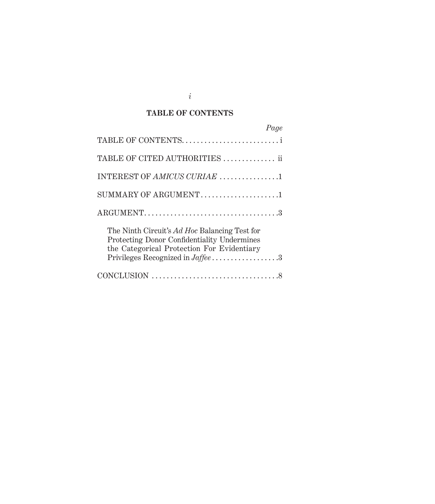## **TABLE OF CONTENTS**

| Page                                                                                                                                                                           |
|--------------------------------------------------------------------------------------------------------------------------------------------------------------------------------|
| TABLE OF CONTENTS                                                                                                                                                              |
| TABLE OF CITED AUTHORITIES  ii                                                                                                                                                 |
| INTEREST OF AMICUS CURIAE 1                                                                                                                                                    |
| SUMMARY OF ARGUMENT1                                                                                                                                                           |
|                                                                                                                                                                                |
| The Ninth Circuit's Ad Hoc Balancing Test for<br>Protecting Donor Confidentiality Undermines<br>the Categorical Protection For Evidentiary<br>Privileges Recognized in Jaffee3 |
|                                                                                                                                                                                |

*i*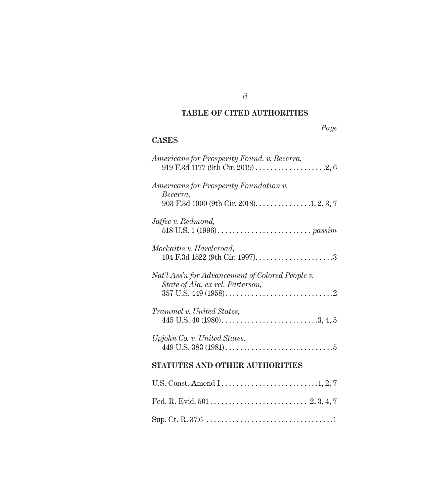### **TABLE OF CITED AUTHORITIES**

# *Page*

### **Cases**

| Americans for Prosperity Found. v. Becerra,                                          |
|--------------------------------------------------------------------------------------|
| Americans for Prosperity Foundation v.<br>Becerra,                                   |
| Jaffee v. Redmond,                                                                   |
| <i>Mockaitis v. Harcleroad,</i>                                                      |
| Nat'l Ass'n for Advancement of Colored People v.<br>State of Ala. ex rel. Patterson, |
| Trammel v. United States,                                                            |
| Upjohn Co. v. United States,                                                         |
| STATUTES AND OTHER AUTHORITIES                                                       |
|                                                                                      |
|                                                                                      |
|                                                                                      |

*ii*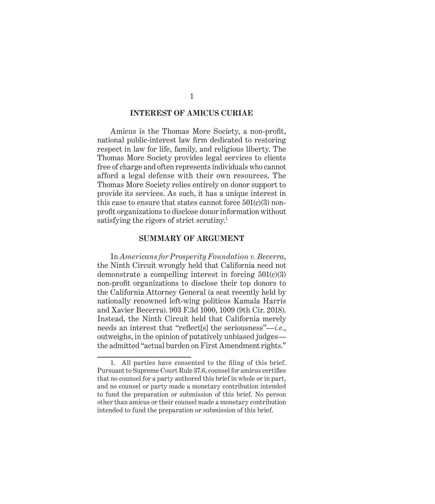#### **INTEREST OF AMICUS CURIAE**

Amicus is the Thomas More Society, a non-profit, national public-interest law firm dedicated to restoring respect in law for life, family, and religious liberty. The Thomas More Society provides legal services to clients free of charge and often represents individuals who cannot afford a legal defense with their own resources. The Thomas More Society relies entirely on donor support to provide its services. As such, it has a unique interest in this case to ensure that states cannot force 501(c)(3) nonprofit organizations to disclose donor information without satisfying the rigors of strict scrutiny.1

#### **SUMMARY OF ARGUMENT**

In *Americans for Prosperity Foundation v. Becerra*, the Ninth Circuit wrongly held that California need not demonstrate a compelling interest in forcing 501(c)(3) non-profit organizations to disclose their top donors to the California Attorney General (a seat recently held by nationally renowned left-wing politicos Kamala Harris and Xavier Becerra). 903 F.3d 1000, 1009 (9th Cir. 2018). Instead, the Ninth Circuit held that California merely needs an interest that "reflect[s] the seriousness"—*i.e.*, outweighs, in the opinion of putatively unbiased judges the admitted "actual burden on First Amendment rights."

<sup>1.</sup> All parties have consented to the filing of this brief. Pursuant to Supreme Court Rule 37.6, counsel for amicus certifies that no counsel for a party authored this brief in whole or in part, and no counsel or party made a monetary contribution intended to fund the preparation or submission of this brief. No person other than amicus or their counsel made a monetary contribution intended to fund the preparation or submission of this brief.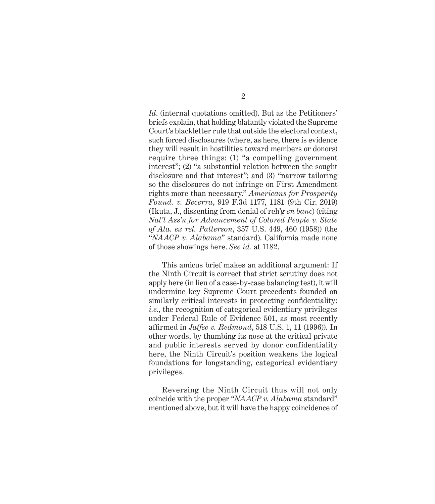*Id*. (internal quotations omitted). But as the Petitioners' briefs explain, that holding blatantly violated the Supreme Court's blackletter rule that outside the electoral context, such forced disclosures (where, as here, there is evidence they will result in hostilities toward members or donors) require three things: (1) "a compelling government interest"; (2) "a substantial relation between the sought disclosure and that interest"; and (3) "narrow tailoring so the disclosures do not infringe on First Amendment rights more than necessary." *Americans for Prosperity Found. v. Becerra*, 919 F.3d 1177, 1181 (9th Cir. 2019) (Ikuta, J., dissenting from denial of reh'g *en banc*) (citing *Nat'l Ass'n for Advancement of Colored People v. State of Ala. ex rel. Patterson*, 357 U.S. 449, 460 (1958)) (the "*NAACP v. Alabama*" standard). California made none of those showings here. *See id.* at 1182.

This amicus brief makes an additional argument: If the Ninth Circuit is correct that strict scrutiny does not apply here (in lieu of a case-by-case balancing test), it will undermine key Supreme Court precedents founded on similarly critical interests in protecting confidentiality: *i.e.*, the recognition of categorical evidentiary privileges under Federal Rule of Evidence 501, as most recently affirmed in *Jaffee v. Redmond*, 518 U.S. 1, 11 (1996)). In other words, by thumbing its nose at the critical private and public interests served by donor confidentiality here, the Ninth Circuit's position weakens the logical foundations for longstanding, categorical evidentiary privileges.

Reversing the Ninth Circuit thus will not only coincide with the proper "*NAACP v. Alabama* standard" mentioned above, but it will have the happy coincidence of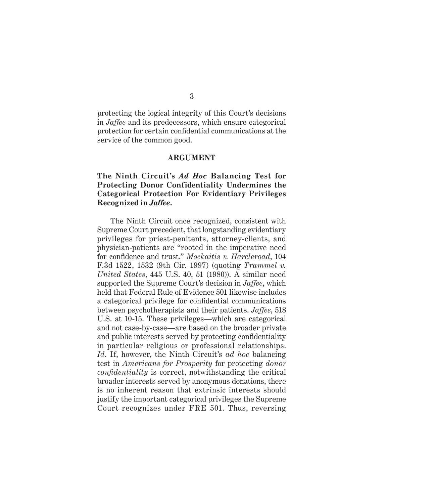protecting the logical integrity of this Court's decisions in *Jaffee* and its predecessors, which ensure categorical protection for certain confidential communications at the service of the common good.

#### **ARGUMENT**

#### **The Ninth Circuit's** *Ad Hoc* **Balancing Test for Protecting Donor Confidentiality Undermines the Categorical Protection For Evidentiary Privileges Recognized in** *Jaffee***.**

The Ninth Circuit once recognized, consistent with Supreme Court precedent, that longstanding evidentiary privileges for priest-penitents, attorney-clients, and physician-patients are "rooted in the imperative need for confidence and trust." *Mockaitis v. Harcleroad*, 104 F.3d 1522, 1532 (9th Cir. 1997) (quoting *Trammel v. United States*, 445 U.S. 40, 51 (1980)). A similar need supported the Supreme Court's decision in *Jaffee*, which held that Federal Rule of Evidence 501 likewise includes a categorical privilege for confidential communications between psychotherapists and their patients. *Jaffee*, 518 U.S. at 10-15. These privileges—which are categorical and not case-by-case—are based on the broader private and public interests served by protecting confidentiality in particular religious or professional relationships. *Id*. If, however, the Ninth Circuit's *ad hoc* balancing test in *Americans for Prosperity* for protecting *donor confidentiality* is correct, notwithstanding the critical broader interests served by anonymous donations, there is no inherent reason that extrinsic interests should justify the important categorical privileges the Supreme Court recognizes under FRE 501. Thus, reversing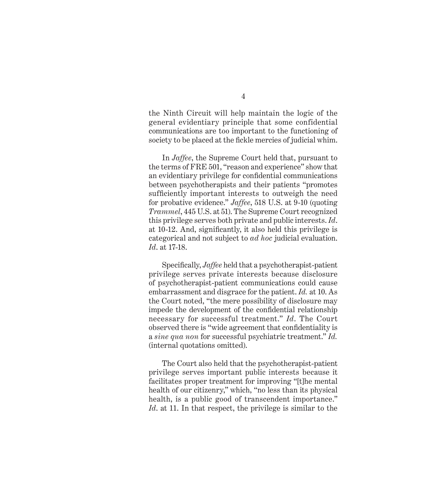the Ninth Circuit will help maintain the logic of the general evidentiary principle that some confidential communications are too important to the functioning of society to be placed at the fickle mercies of judicial whim.

In *Jaffee*, the Supreme Court held that, pursuant to the terms of FRE 501, "reason and experience" show that an evidentiary privilege for confidential communications between psychotherapists and their patients "promotes sufficiently important interests to outweigh the need for probative evidence." *Jaffee*, 518 U.S. at 9-10 (quoting *Trammel*, 445 U.S. at 51). The Supreme Court recognized this privilege serves both private and public interests. *Id*. at 10-12. And, significantly, it also held this privilege is categorical and not subject to *ad hoc* judicial evaluation. *Id*. at 17-18.

Specifically, *Jaffee* held that a psychotherapist-patient privilege serves private interests because disclosure of psychotherapist-patient communications could cause embarrassment and disgrace for the patient. *Id.* at 10. As the Court noted, "the mere possibility of disclosure may impede the development of the confidential relationship necessary for successful treatment." *Id*. The Court observed there is "wide agreement that confidentiality is a *sine qua non* for successful psychiatric treatment." *Id.* (internal quotations omitted).

The Court also held that the psychotherapist-patient privilege serves important public interests because it facilitates proper treatment for improving "[t]he mental health of our citizenry," which, "no less than its physical health, is a public good of transcendent importance." *Id*. at 11. In that respect, the privilege is similar to the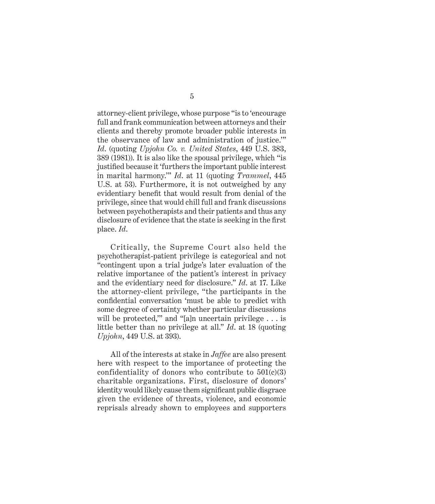attorney-client privilege, whose purpose "is to 'encourage full and frank communication between attorneys and their clients and thereby promote broader public interests in the observance of law and administration of justice.'" *Id*. (quoting *Upjohn Co. v. United States*, 449 U.S. 383, 389 (1981)). It is also like the spousal privilege, which "is justified because it 'furthers the important public interest in marital harmony.'" *Id*. at 11 (quoting *Trammel*, 445 U.S. at 53). Furthermore, it is not outweighed by any evidentiary benefit that would result from denial of the privilege, since that would chill full and frank discussions between psychotherapists and their patients and thus any disclosure of evidence that the state is seeking in the first place. *Id*.

Critically, the Supreme Court also held the psychotherapist-patient privilege is categorical and not "contingent upon a trial judge's later evaluation of the relative importance of the patient's interest in privacy and the evidentiary need for disclosure." *Id*. at 17. Like the attorney-client privilege, "the participants in the confidential conversation 'must be able to predict with some degree of certainty whether particular discussions will be protected," and "[a]n uncertain privilege . . . is little better than no privilege at all." *Id*. at 18 (quoting *Upjohn*, 449 U.S. at 393).

All of the interests at stake in *Jaffee* are also present here with respect to the importance of protecting the confidentiality of donors who contribute to  $501(c)(3)$ charitable organizations. First, disclosure of donors' identity would likely cause them significant public disgrace given the evidence of threats, violence, and economic reprisals already shown to employees and supporters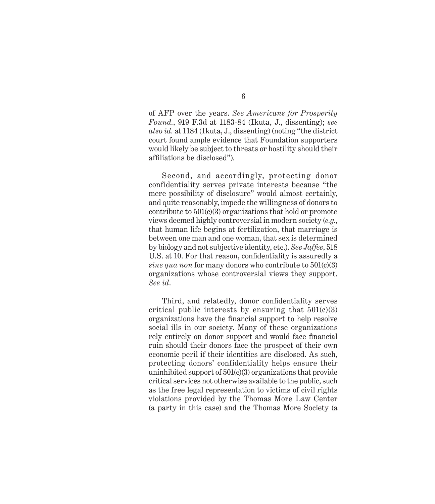of AFP over the years. *See Americans for Prosperity Found.*, 919 F.3d at 1183-84 (Ikuta, J., dissenting); *see also id.* at 1184 (Ikuta, J., dissenting) (noting "the district court found ample evidence that Foundation supporters would likely be subject to threats or hostility should their affiliations be disclosed").

Second, and accordingly, protecting donor confidentiality serves private interests because "the mere possibility of disclosure" would almost certainly, and quite reasonably, impede the willingness of donors to contribute to 501(c)(3) organizations that hold or promote views deemed highly controversial in modern society (*e.g.*, that human life begins at fertilization, that marriage is between one man and one woman, that sex is determined by biology and not subjective identity, etc.). *See Jaffee*, 518 U.S. at 10. For that reason, confidentiality is assuredly a *sine qua non* for many donors who contribute to 501(c)(3) organizations whose controversial views they support. *See id*.

Third, and relatedly, donor confidentiality serves critical public interests by ensuring that  $501(c)(3)$ organizations have the financial support to help resolve social ills in our society. Many of these organizations rely entirely on donor support and would face financial ruin should their donors face the prospect of their own economic peril if their identities are disclosed. As such, protecting donors' confidentiality helps ensure their uninhibited support of 501(c)(3) organizations that provide critical services not otherwise available to the public, such as the free legal representation to victims of civil rights violations provided by the Thomas More Law Center (a party in this case) and the Thomas More Society (a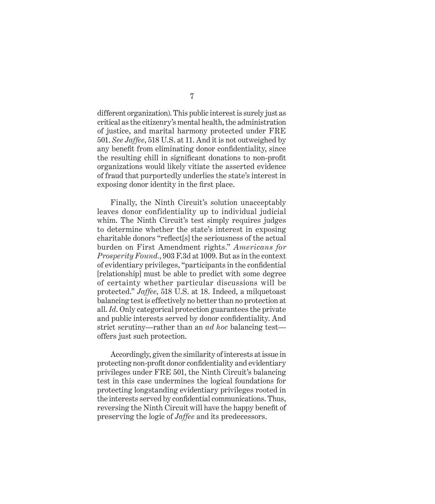different organization). This public interest is surely just as critical as the citizenry's mental health, the administration of justice, and marital harmony protected under FRE 501. *See Jaffee*, 518 U.S. at 11. And it is not outweighed by any benefit from eliminating donor confidentiality, since the resulting chill in significant donations to non-profit organizations would likely vitiate the asserted evidence of fraud that purportedly underlies the state's interest in exposing donor identity in the first place.

Finally, the Ninth Circuit's solution unacceptably leaves donor confidentiality up to individual judicial whim. The Ninth Circuit's test simply requires judges to determine whether the state's interest in exposing charitable donors "reflect[s] the seriousness of the actual burden on First Amendment rights." *Americans for Prosperity Found.*, 903 F.3d at 1009. But as in the context of evidentiary privileges, "participants in the confidential [relationship] must be able to predict with some degree of certainty whether particular discussions will be protected." *Jaffee*, 518 U.S. at 18. Indeed, a milquetoast balancing test is effectively no better than no protection at all. *Id*. Only categorical protection guarantees the private and public interests served by donor confidentiality. And strict scrutiny—rather than an *ad hoc* balancing test offers just such protection.

Accordingly, given the similarity of interests at issue in protecting non-profit donor confidentiality and evidentiary privileges under FRE 501, the Ninth Circuit's balancing test in this case undermines the logical foundations for protecting longstanding evidentiary privileges rooted in the interests served by confidential communications. Thus, reversing the Ninth Circuit will have the happy benefit of preserving the logic of *Jaffee* and its predecessors.